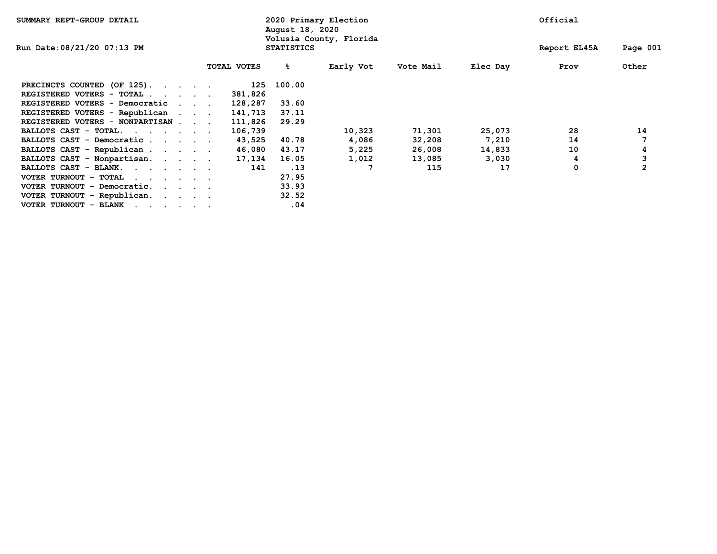| SUMMARY REPT-GROUP DETAIL                                                                      |  |             | August 18, 2020   | 2020 Primary Election   |           | Official |              |              |  |
|------------------------------------------------------------------------------------------------|--|-------------|-------------------|-------------------------|-----------|----------|--------------|--------------|--|
| Run Date:08/21/20 07:13 PM                                                                     |  |             | <b>STATISTICS</b> | Volusia County, Florida |           |          | Report EL45A | Page 001     |  |
|                                                                                                |  | TOTAL VOTES | ៖                 | Early Vot               | Vote Mail | Elec Day | Prov         | Other        |  |
| PRECINCTS COUNTED (OF 125).                                                                    |  | 125         | 100.00            |                         |           |          |              |              |  |
| REGISTERED VOTERS - TOTAL                                                                      |  | 381,826     |                   |                         |           |          |              |              |  |
| REGISTERED VOTERS - Democratic                                                                 |  | 128,287     | 33.60             |                         |           |          |              |              |  |
| REGISTERED VOTERS - Republican                                                                 |  | 141,713     | 37.11             |                         |           |          |              |              |  |
| REGISTERED VOTERS - NONPARTISAN                                                                |  | 111,826     | 29.29             |                         |           |          |              |              |  |
| BALLOTS CAST - TOTAL.                                                                          |  | 106,739     |                   | 10,323                  | 71,301    | 25,073   | 28           | 14           |  |
| BALLOTS CAST - Democratic                                                                      |  | 43,525      | 40.78             | 4,086                   | 32,208    | 7,210    | 14           |              |  |
| BALLOTS CAST - Republican                                                                      |  | 46,080      | 43.17             | 5,225                   | 26,008    | 14,833   | 10           | 4            |  |
| BALLOTS CAST - Nonpartisan.                                                                    |  | 17,134      | 16.05             | 1,012                   | 13,085    | 3,030    | 4            | 3            |  |
| BALLOTS CAST - BLANK.                                                                          |  | 141         | .13               |                         | 115       | 17       | 0            | $\mathbf{2}$ |  |
| VOTER TURNOUT - TOTAL<br>$\mathbf{r}$ , and $\mathbf{r}$ , and $\mathbf{r}$ , and $\mathbf{r}$ |  |             | 27.95             |                         |           |          |              |              |  |
| VOTER TURNOUT - Democratic.                                                                    |  |             | 33.93             |                         |           |          |              |              |  |
| VOTER TURNOUT - Republican.                                                                    |  |             | 32.52             |                         |           |          |              |              |  |
| VOTER TURNOUT - BLANK                                                                          |  |             | .04               |                         |           |          |              |              |  |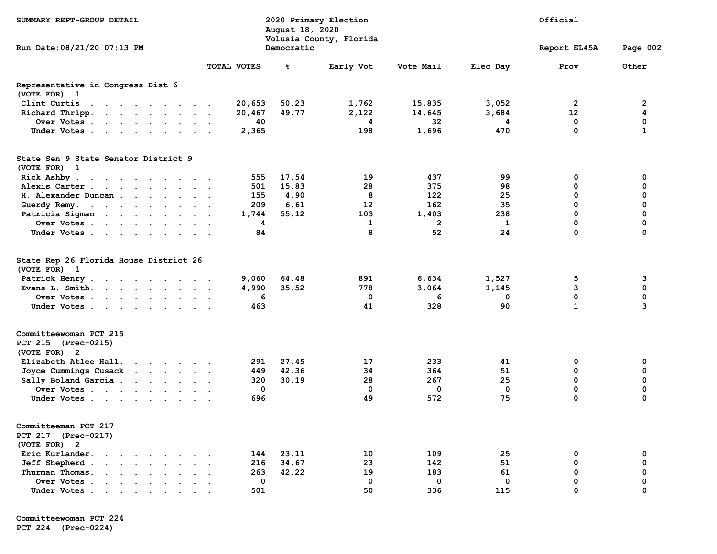| SUMMARY REPT-GROUP DETAIL<br>Run Date: 08/21/20 07:13 PM                                                                                                                                                                                           |             | August 18, 2020<br>Democratic | 2020 Primary Election<br>Volusia County, Florida |              |          | Official<br>Report EL45A | Page 002     |
|----------------------------------------------------------------------------------------------------------------------------------------------------------------------------------------------------------------------------------------------------|-------------|-------------------------------|--------------------------------------------------|--------------|----------|--------------------------|--------------|
|                                                                                                                                                                                                                                                    |             |                               |                                                  |              |          |                          |              |
|                                                                                                                                                                                                                                                    | TOTAL VOTES | နွ                            | Early Vot                                        | Vote Mail    | Elec Day | Prov                     | Other        |
| Representative in Congress Dist 6<br>(VOTE FOR) 1                                                                                                                                                                                                  |             |                               |                                                  |              |          |                          |              |
| Clint Curtis                                                                                                                                                                                                                                       | 20,653      | 50.23                         | 1,762                                            | 15,835       | 3,052    | $\mathbf{2}$             | 2            |
| Richard Thripp.                                                                                                                                                                                                                                    | 20,467      | 49.77                         | 2,122                                            | 14,645       | 3,684    | 12                       | 4            |
| Over Votes                                                                                                                                                                                                                                         | 40          |                               | 4                                                | 32           | 4        | 0                        | 0            |
| Under Votes                                                                                                                                                                                                                                        | 2,365       |                               | 198                                              | 1,696        | 470      | 0                        | $\mathbf{1}$ |
| State Sen 9 State Senator District 9                                                                                                                                                                                                               |             |                               |                                                  |              |          |                          |              |
| (VOTE FOR) 1                                                                                                                                                                                                                                       |             |                               |                                                  |              |          |                          |              |
| Rick Ashby                                                                                                                                                                                                                                         | 555         | 17.54                         | 19                                               | 437          | 99       | 0                        | 0            |
| Alexis Carter                                                                                                                                                                                                                                      | 501         | 15.83                         | 28                                               | 375          | 98       | 0                        | 0            |
| H. Alexander Duncan                                                                                                                                                                                                                                | 155         | 4.90                          | 8                                                | 122          | 25       | 0                        | 0            |
| Guerdy Remy.                                                                                                                                                                                                                                       | 209         | 6.61                          | 12                                               | 162          | 35       | 0                        | 0            |
| Patricia Sigman                                                                                                                                                                                                                                    | 1,744       | 55.12                         | 103                                              | 1,403        | 238      | 0                        | 0            |
| Over Votes                                                                                                                                                                                                                                         | 4           |                               | 1                                                | $\mathbf{2}$ | 1        | 0                        | 0            |
| Under Votes                                                                                                                                                                                                                                        | 84          |                               | 8                                                | 52           | 24       | 0                        | 0            |
| State Rep 26 Florida House District 26<br>(VOTE FOR) 1                                                                                                                                                                                             |             |                               |                                                  |              |          |                          |              |
| Patrick Henry                                                                                                                                                                                                                                      | 9,060       | 64.48                         | 891                                              | 6,634        | 1,527    | 5                        | 3            |
| Evans L. Smith.                                                                                                                                                                                                                                    | 4,990       | 35.52                         | 778                                              | 3,064        | 1,145    | 3                        | 0            |
| Over Votes                                                                                                                                                                                                                                         | 6           |                               | 0                                                | 6            | 0        | 0                        | 0            |
| Under Votes                                                                                                                                                                                                                                        | 463         |                               | 41                                               | 328          | 90       | $\mathbf{1}$             | 3            |
| Committeewoman PCT 215                                                                                                                                                                                                                             |             |                               |                                                  |              |          |                          |              |
| PCT 215 (Prec-0215)<br>(VOTE FOR) 2                                                                                                                                                                                                                |             |                               |                                                  |              |          |                          |              |
| Elizabeth Atlee Hall.                                                                                                                                                                                                                              | 291         | 27.45                         | 17                                               | 233          | 41       | 0                        | 0            |
| Joyce Cummings Cusack                                                                                                                                                                                                                              | 449         | 42.36                         | 34                                               | 364          | 51       | 0                        | 0            |
| Sally Boland Garcia                                                                                                                                                                                                                                | 320         | 30.19                         | 28                                               | 267          | 25       | 0                        | 0            |
| Over Votes                                                                                                                                                                                                                                         | 0           |                               | 0                                                | 0            | 0        | 0                        | 0            |
| Under Votes                                                                                                                                                                                                                                        | 696         |                               | 49                                               | 572          | 75       | 0                        | 0            |
| Committeeman PCT 217<br>PCT 217 (Prec-0217)<br>(VOTE FOR) 2                                                                                                                                                                                        |             |                               |                                                  |              |          |                          |              |
| Eric Kurlander.<br>$\mathbf{r}$ , $\mathbf{r}$ , $\mathbf{r}$ , $\mathbf{r}$ , $\mathbf{r}$                                                                                                                                                        | 144         | 23.11                         | 10                                               | 109          | 25       | 0                        | 0            |
| Jeff Shepherd.<br><b>All Contracts</b><br>$\sim$<br>$\sim$                                                                                                                                                                                         | 216         | 34.67                         | 23                                               | 142          | 51       | 0                        | 0            |
| Thurman Thomas.<br>$\mathbf{r}$ , $\mathbf{r}$ , $\mathbf{r}$ , $\mathbf{r}$ , $\mathbf{r}$                                                                                                                                                        | 263         | 42.22                         | 19                                               | 183          | 61       | 0                        | 0            |
| Over Votes .<br>$\cdot$ $\cdot$<br>$\ddot{\phantom{a}}$<br>$\sim$<br>$\sim$                                                                                                                                                                        | 0           |                               | 0                                                | 0            | 0        | 0                        | 0            |
| Under Votes .<br>$\mathbf{a}$ . The contract of the contract of the contract of the contract of the contract of the contract of the contract of the contract of the contract of the contract of the contract of the contract of the contract of th | 501         |                               | 50                                               | 336          | 115      | 0                        | 0            |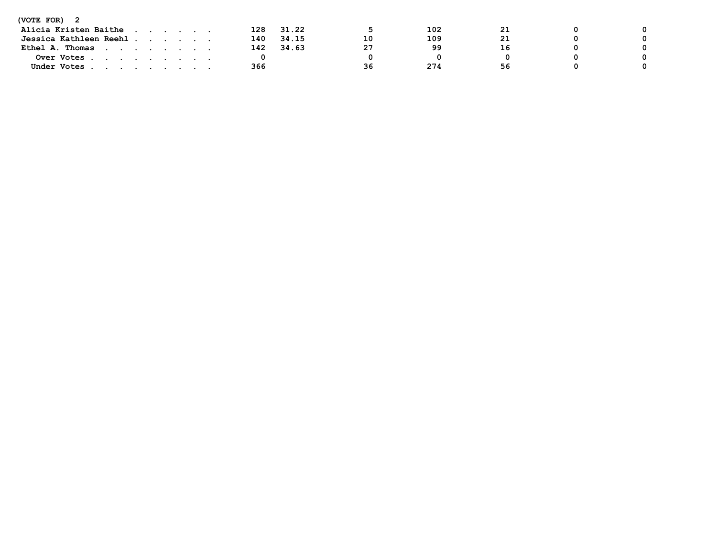| (VOTE FOR) 2                                                                                                                                                                                                                                               |     |             |     |    |    |
|------------------------------------------------------------------------------------------------------------------------------------------------------------------------------------------------------------------------------------------------------------|-----|-------------|-----|----|----|
| Alicia Kristen Baithe<br>$\mathbf{r}$ . The set of the set of the set of the set of the set of the set of the set of the set of the set of the set of the set of the set of the set of the set of the set of the set of the set of the set of the set of t | 128 | 31.22       | 102 |    |    |
| Jessica Kathleen Reehl                                                                                                                                                                                                                                     | 140 | 34.15<br>10 | 109 | 21 | n. |
| Ethel A. Thomas                                                                                                                                                                                                                                            | 142 | 27<br>34.63 | 99  |    | 0  |
| Over Votes                                                                                                                                                                                                                                                 |     |             |     |    | 0  |
| Under Votes, , , , , , , , ,                                                                                                                                                                                                                               | 366 | 36          |     | 56 |    |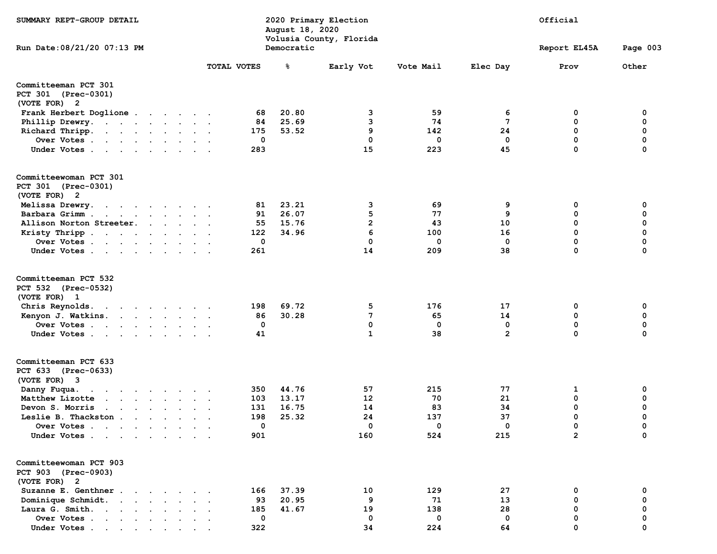| SUMMARY REPT-GROUP DETAIL                                                                |             | August 18, 2020 | 2020 Primary Election<br>Volusia County, Florida |           | Official       |                  |             |  |
|------------------------------------------------------------------------------------------|-------------|-----------------|--------------------------------------------------|-----------|----------------|------------------|-------------|--|
| Run Date: 08/21/20 07:13 PM                                                              |             | Democratic      |                                                  |           |                | Report EL45A     | Page 003    |  |
|                                                                                          | TOTAL VOTES | ៖               | Early Vot                                        | Vote Mail | Elec Day       | Prov             | Other       |  |
| Committeeman PCT 301                                                                     |             |                 |                                                  |           |                |                  |             |  |
| PCT 301 (Prec-0301)                                                                      |             |                 |                                                  |           |                |                  |             |  |
| (VOTE FOR) 2                                                                             |             |                 |                                                  |           |                |                  |             |  |
| Frank Herbert Doglione                                                                   | 68          | 20.80           | 3                                                | 59        | 6              | 0                | 0           |  |
| Phillip Drewry.                                                                          | 84          | 25.69           | 3                                                | 74        | 7              | 0                | 0           |  |
| Richard Thripp.                                                                          | 175         | 53.52           | 9                                                | 142       | 24             | 0                | 0<br>0      |  |
| Over Votes                                                                               | 0           |                 | 0                                                | 0         | 0<br>45        | 0<br>$\mathbf 0$ | 0           |  |
| Under Votes                                                                              | 283         |                 | 15                                               | 223       |                |                  |             |  |
| Committeewoman PCT 301<br>PCT 301 (Prec-0301)                                            |             |                 |                                                  |           |                |                  |             |  |
| (VOTE FOR) 2                                                                             |             |                 |                                                  |           |                |                  |             |  |
| Melissa Drewry.                                                                          | 81          | 23.21           | 3                                                | 69        | 9              | 0                | 0           |  |
| Barbara Grimm                                                                            | 91          | 26.07           | 5                                                | 77        | 9              | 0                | 0           |  |
| Allison Norton Streeter.                                                                 | 55          | 15.76           | $\overline{2}$                                   | 43        | 10             | 0                | 0           |  |
| Kristy Thripp                                                                            | 122         | 34.96           | 6                                                | 100       | 16             | 0                | 0           |  |
| Over Votes                                                                               | 0           |                 | 0                                                | 0         | 0              | 0                | 0           |  |
| Under Votes                                                                              | 261         |                 | 14                                               | 209       | 38             | 0                | 0           |  |
| Committeeman PCT 532<br>PCT 532 (Prec-0532)<br>(VOTE FOR) 1                              |             |                 |                                                  |           |                |                  |             |  |
| Chris Reynolds.                                                                          | 198         | 69.72           | 5                                                | 176       | 17             | 0                | 0           |  |
| Kenyon J. Watkins.                                                                       | 86          | 30.28           | 7                                                | 65        | 14             | 0                | 0           |  |
| Over Votes                                                                               | 0           |                 | 0                                                | 0         | 0              | 0                | 0           |  |
| Under Votes                                                                              | 41          |                 | $\mathbf{1}$                                     | 38        | $\overline{2}$ | $\Omega$         | $\Omega$    |  |
| Committeeman PCT 633<br>PCT 633 (Prec-0633)<br>(VOTE FOR) 3                              |             |                 |                                                  |           |                |                  |             |  |
| Danny Fuqua.<br>the contract of the contract of the con-                                 | 350         | 44.76           | 57                                               | 215       | 77             | 1                | 0           |  |
| Matthew Lizotte                                                                          | 103         | 13.17           | 12                                               | 70        | 21             | 0                | 0           |  |
| Devon S. Morris<br>$\mathbf{r}$ , and $\mathbf{r}$ , and $\mathbf{r}$ , and $\mathbf{r}$ | 131         | 16.75           | 14                                               | 83        | 34             | 0                | 0           |  |
| Leslie B. Thackston                                                                      | 198         | 25.32           | 24                                               | 137       | 37             | 0                | 0           |  |
| Over Votes                                                                               | 0           |                 | 0                                                | 0         | 0              | 0                | 0           |  |
| Under Votes                                                                              | 901         |                 | 160                                              | 524       | 215            | $\overline{2}$   | $\mathbf 0$ |  |
| Committeewoman PCT 903<br>PCT 903 (Prec-0903)<br>(VOTE FOR) 2                            |             |                 |                                                  |           |                |                  |             |  |
| Suzanne E. Genthner.                                                                     | 166         | 37.39           | 10                                               | 129       | 27             | 0                | 0           |  |
| Dominique Schmidt.<br>the contract of the contract of the                                | 93          | 20.95           | 9                                                | 71        | 13             | 0                | 0           |  |
| Laura G. Smith.                                                                          | 185         | 41.67           | 19                                               | 138       | 28             | 0                | 0           |  |
| Over Votes                                                                               | 0           |                 | 0                                                | 0         | 0              | 0                | 0           |  |
| Under Votes                                                                              | 322         |                 | 34                                               | 224       | 64             | 0                | $\Omega$    |  |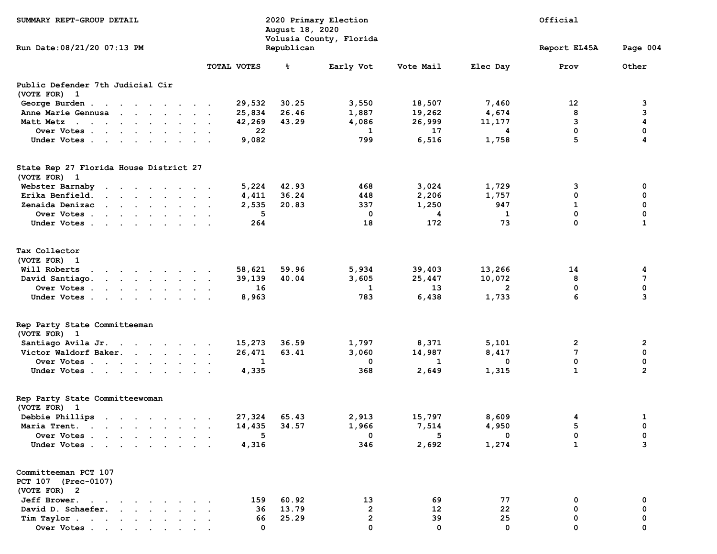| SUMMARY REPT-GROUP DETAIL                                                                                                                                                                                                                         |             | August 18, 2020 | 2020 Primary Election<br>Volusia County, Florida |           | Official       |              |                |  |
|---------------------------------------------------------------------------------------------------------------------------------------------------------------------------------------------------------------------------------------------------|-------------|-----------------|--------------------------------------------------|-----------|----------------|--------------|----------------|--|
| Run Date: 08/21/20 07:13 PM                                                                                                                                                                                                                       |             | Republican      |                                                  |           |                | Report EL45A | Page 004       |  |
|                                                                                                                                                                                                                                                   | TOTAL VOTES | နွ              | Early Vot                                        | Vote Mail | Elec Day       | Prov         | Other          |  |
| Public Defender 7th Judicial Cir                                                                                                                                                                                                                  |             |                 |                                                  |           |                |              |                |  |
| (VOTE FOR) 1                                                                                                                                                                                                                                      |             |                 |                                                  |           |                |              |                |  |
| George Burden                                                                                                                                                                                                                                     | 29,532      | 30.25           | 3,550                                            | 18,507    | 7,460          | 12           | з              |  |
| Anne Marie Gennusa                                                                                                                                                                                                                                | 25,834      | 26.46           | 1,887                                            | 19,262    | 4,674          | 8            | 3              |  |
| Matt Metz                                                                                                                                                                                                                                         | 42,269      | 43.29           | 4,086                                            | 26,999    | 11,177         | 3            | 4              |  |
| Over Votes                                                                                                                                                                                                                                        | 22          |                 | 1                                                | 17        | 4              | 0            | 0              |  |
| Under Votes                                                                                                                                                                                                                                       | 9,082       |                 | 799                                              | 6,516     | 1,758          | 5            | 4              |  |
| State Rep 27 Florida House District 27<br>(VOTE FOR) 1                                                                                                                                                                                            |             |                 |                                                  |           |                |              |                |  |
| Webster Barnaby                                                                                                                                                                                                                                   | 5,224       | 42.93           | 468                                              | 3,024     | 1,729          | 3            | 0              |  |
| Erika Benfield.                                                                                                                                                                                                                                   | 4,411       | 36.24           | 448                                              | 2,206     | 1,757          | 0            | 0              |  |
| Zenaida Denizac                                                                                                                                                                                                                                   | 2,535       | 20.83           | 337                                              | 1,250     | 947            | $\mathbf{1}$ | 0              |  |
| Over Votes                                                                                                                                                                                                                                        | 5           |                 | 0                                                | 4         | 1              | $\mathbf 0$  | 0              |  |
| Under Votes                                                                                                                                                                                                                                       | 264         |                 | 18                                               | 172       | 73             | 0            | 1              |  |
| Tax Collector                                                                                                                                                                                                                                     |             |                 |                                                  |           |                |              |                |  |
| (VOTE FOR) 1                                                                                                                                                                                                                                      |             |                 |                                                  |           |                |              |                |  |
| Will Roberts                                                                                                                                                                                                                                      | 58,621      | 59.96           | 5,934                                            | 39,403    | 13,266         | 14           | 4              |  |
| David Santiago.                                                                                                                                                                                                                                   | 39,139      | 40.04           | 3,605                                            | 25,447    | 10,072         | 8            | 7              |  |
| Over Votes                                                                                                                                                                                                                                        | 16          |                 | 1                                                | 13        | $\overline{2}$ | 0            | 0              |  |
| Under Votes                                                                                                                                                                                                                                       | 8,963       |                 | 783                                              | 6,438     | 1,733          | 6            | 3              |  |
| Rep Party State Committeeman<br>(VOTE FOR) 1                                                                                                                                                                                                      |             |                 |                                                  |           |                |              |                |  |
| Santiago Avila Jr.                                                                                                                                                                                                                                | 15,273      | 36.59           | 1,797                                            | 8,371     | 5,101          | 2            | $\mathbf{2}$   |  |
| Victor Waldorf Baker.                                                                                                                                                                                                                             | 26,471      | 63.41           | 3,060                                            | 14,987    | 8,417          | 7            | 0              |  |
| Over Votes                                                                                                                                                                                                                                        | 1           |                 | 0                                                | 1         | 0              | 0            | 0              |  |
| Under Votes                                                                                                                                                                                                                                       | 4,335       |                 | 368                                              | 2,649     | 1,315          | $\mathbf{1}$ | $\overline{2}$ |  |
| Rep Party State Committeewoman<br>(VOTE FOR) 1                                                                                                                                                                                                    |             |                 |                                                  |           |                |              |                |  |
| Debbie Phillips                                                                                                                                                                                                                                   | 27,324      | 65.43           | 2,913                                            | 15,797    | 8,609          | 4            | 1              |  |
| Maria Trent.<br>$\mathbf{r}$ . The set of the set of the set of the set of the set of the set of the set of the set of the set of the set of the set of the set of the set of the set of the set of the set of the set of the set of the set of t | 14,435      | 34.57           | 1,966                                            | 7,514     | 4,950          | 5            | 0              |  |
| Over Votes                                                                                                                                                                                                                                        | 5           |                 | 0                                                | 5         | 0              | 0            | 0              |  |
| Under Votes                                                                                                                                                                                                                                       | 4,316       |                 | 346                                              | 2,692     | 1,274          | $\mathbf{1}$ | 3              |  |
| Committeeman PCT 107<br>PCT 107 (Prec-0107)<br>(VOTE FOR) 2                                                                                                                                                                                       |             |                 |                                                  |           |                |              |                |  |
| Jeff Brower.                                                                                                                                                                                                                                      | 159         | 60.92           | 13                                               | 69        | 77             | 0            | 0              |  |
| David D. Schaefer.                                                                                                                                                                                                                                | 36          | 13.79           | $\overline{2}$                                   | 12        | 22             | 0            | 0              |  |
| Tim Taylor                                                                                                                                                                                                                                        | 66          | 25.29           | $\mathbf{2}$                                     | 39        | 25             | 0            | 0              |  |
| Over Votes                                                                                                                                                                                                                                        | 0           |                 | 0                                                | 0         | 0              | $\Omega$     | $\Omega$       |  |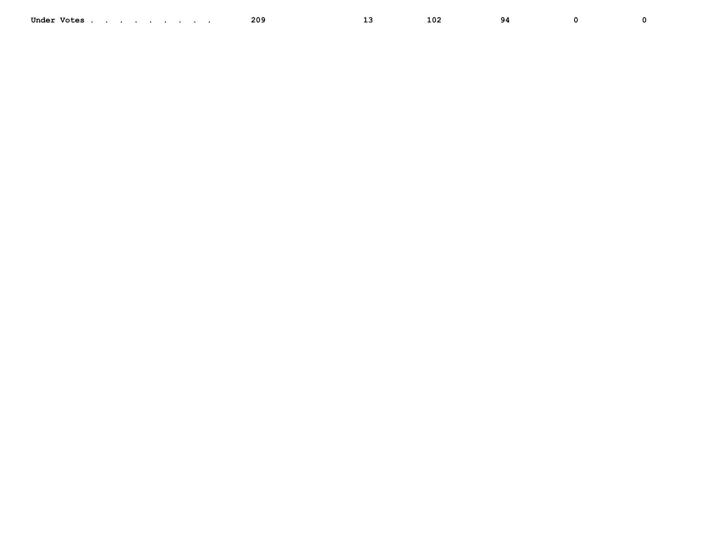| Jnde:<br>votes | 209 | 102 | -94 |  |
|----------------|-----|-----|-----|--|
|                |     |     |     |  |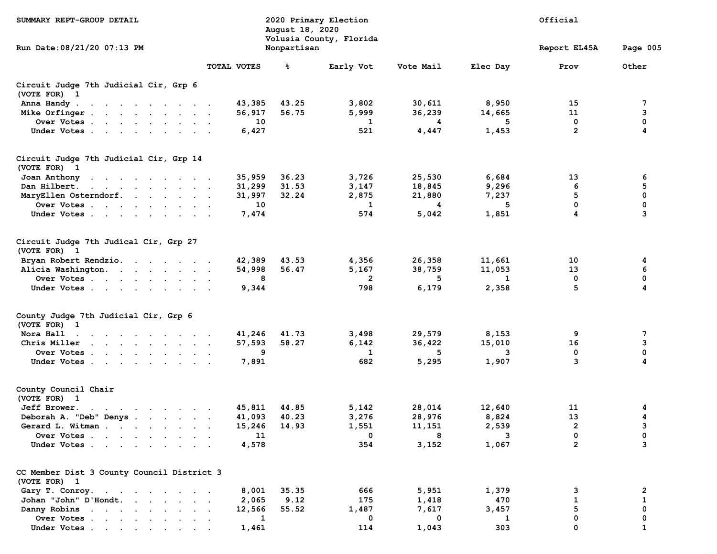| SUMMARY REPT-GROUP DETAIL                                                                                                                                                                                                                             |             | August 18, 2020 | 2020 Primary Election<br>Volusia County, Florida |           |              | Official       |          |  |
|-------------------------------------------------------------------------------------------------------------------------------------------------------------------------------------------------------------------------------------------------------|-------------|-----------------|--------------------------------------------------|-----------|--------------|----------------|----------|--|
| Run Date: 08/21/20 07:13 PM                                                                                                                                                                                                                           |             | Nonpartisan     |                                                  |           |              | Report EL45A   | Page 005 |  |
|                                                                                                                                                                                                                                                       | TOTAL VOTES | ៖               | Early Vot                                        | Vote Mail | Elec Day     | Prov           | Other    |  |
| Circuit Judge 7th Judicial Cir, Grp 6<br>(VOTE FOR) 1                                                                                                                                                                                                 |             |                 |                                                  |           |              |                |          |  |
| Anna Handy                                                                                                                                                                                                                                            | 43,385      | 43.25           | 3,802                                            | 30,611    | 8,950        | 15             | 7        |  |
| Mike Orfinger                                                                                                                                                                                                                                         | 56,917      | 56.75           | 5,999                                            | 36,239    | 14,665       | 11             | 3        |  |
| Over Votes                                                                                                                                                                                                                                            | 10          |                 | 1                                                | 4         | 5            | 0              | 0        |  |
| Under Votes                                                                                                                                                                                                                                           | 6,427       |                 | 521                                              | 4,447     | 1,453        | $\overline{2}$ | 4        |  |
| Circuit Judge 7th Judicial Cir, Grp 14<br>(VOTE FOR) 1                                                                                                                                                                                                |             |                 |                                                  |           |              |                |          |  |
| Joan Anthony                                                                                                                                                                                                                                          | 35,959      | 36.23           | 3,726                                            | 25,530    | 6,684        | 13             | 6        |  |
| Dan Hilbert.                                                                                                                                                                                                                                          | 31,299      | 31.53           | 3,147                                            | 18,845    | 9,296        | 6              | 5        |  |
| MaryEllen Osterndorf.                                                                                                                                                                                                                                 | 31,997      | 32.24           | 2,875                                            | 21,880    | 7,237        | 5              | 0        |  |
| Over Votes                                                                                                                                                                                                                                            | 10          |                 | 1                                                | 4         | 5            | 0              | 0        |  |
| Under Votes                                                                                                                                                                                                                                           | 7,474       |                 | 574                                              | 5,042     | 1,851        | 4              | 3        |  |
| Circuit Judge 7th Judical Cir, Grp 27<br>(VOTE FOR) 1                                                                                                                                                                                                 |             |                 |                                                  |           |              |                |          |  |
| Bryan Robert Rendzio.                                                                                                                                                                                                                                 | 42,389      | 43.53           | 4,356                                            | 26,358    | 11,661       | 10             | 4        |  |
| Alicia Washington.                                                                                                                                                                                                                                    | 54,998      | 56.47           | 5,167                                            | 38,759    | 11,053       | 13             | 6        |  |
| Over Votes                                                                                                                                                                                                                                            | 8           |                 | $\overline{2}$                                   | 5         | $\mathbf{1}$ | 0              | 0        |  |
| Under Votes                                                                                                                                                                                                                                           | 9,344       |                 | 798                                              | 6,179     | 2,358        | 5              | 4        |  |
| County Judge 7th Judicial Cir, Grp 6<br>(VOTE FOR) 1                                                                                                                                                                                                  |             |                 |                                                  |           |              |                |          |  |
| Nora Hall<br>the contract of the contract of the contract of the contract of the contract of the contract of the contract of                                                                                                                          | 41,246      | 41.73           | 3,498                                            | 29,579    | 8,153        | 9              | 7        |  |
| Chris Miller                                                                                                                                                                                                                                          | 57,593      | 58.27           | 6,142                                            | 36,422    | 15,010       | 16             | 3        |  |
| Over Votes                                                                                                                                                                                                                                            | 9           |                 | $\mathbf{1}$                                     | 5         | 3            | 0              | 0        |  |
| Under Votes                                                                                                                                                                                                                                           | 7,891       |                 | 682                                              | 5,295     | 1,907        | 3              | 4        |  |
| County Council Chair<br>(VOTE FOR) 1                                                                                                                                                                                                                  |             |                 |                                                  |           |              |                |          |  |
| Jeff Brower.<br>$\mathbf{a}$ and $\mathbf{a}$ are a set of the set of the set of the set of the set of the set of the set of the set of the set of the set of the set of the set of the set of the set of the set of the set of the set of the set of | 45,811      | 44.85           | 5,142                                            | 28,014    | 12,640       | 11             | 4        |  |
| Deborah A. "Deb" Denys                                                                                                                                                                                                                                | 41,093      | 40.23           | 3,276                                            | 28,976    | 8,824        | 13             | 4        |  |
| Gerard L. Witman                                                                                                                                                                                                                                      | 15,246      | 14.93           | 1,551                                            | 11,151    | 2,539        | $\overline{2}$ | 3        |  |
| Over Votes                                                                                                                                                                                                                                            | 11          |                 | 0                                                | 8         | 3            | 0              | 0        |  |
| Under Votes                                                                                                                                                                                                                                           | 4,578       |                 | 354                                              | 3,152     | 1,067        | $\overline{2}$ | 3        |  |
| CC Member Dist 3 County Council District 3<br>(VOTE FOR) 1                                                                                                                                                                                            |             |                 |                                                  |           |              |                |          |  |
| Gary T. Conroy.                                                                                                                                                                                                                                       | 8,001       | 35.35           | 666                                              | 5,951     | 1,379        | 3              | 2        |  |
| Johan "John" D'Hondt.                                                                                                                                                                                                                                 | 2,065       | 9.12            | 175                                              | 1,418     | 470          | $\mathbf{1}$   | 1        |  |
| Danny Robins                                                                                                                                                                                                                                          | 12,566      | 55.52           | 1,487                                            | 7,617     | 3,457        | 5              | 0        |  |
| Over Votes                                                                                                                                                                                                                                            | 1           |                 | 0                                                | 0         | 1            | 0              | 0        |  |
| Under Votes                                                                                                                                                                                                                                           | 1,461       |                 | 114                                              | 1,043     | 303          | $\mathbf 0$    | 1        |  |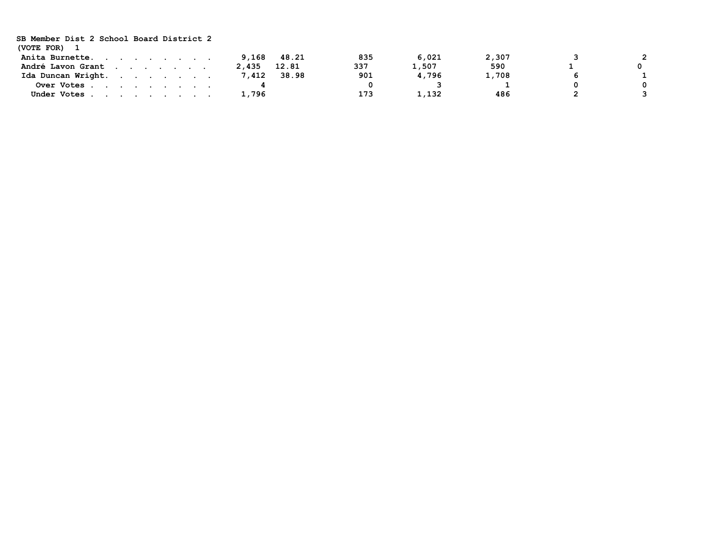| SB Member Dist 2 School Board District 2 |                |     |       |       |   |
|------------------------------------------|----------------|-----|-------|-------|---|
| (VOTE FOR)                               |                |     |       |       |   |
| Anita Burnette.                          | 48.21<br>9,168 | 835 | 6.021 | 2,307 | ົ |
| André Lavon Grant                        | 2,435<br>12.81 | 337 | 1,507 | 590   |   |
| Ida Duncan Wright.                       | 38.98<br>7,412 | 901 | 4,796 | 1,708 |   |
| Over Votes                               |                |     |       |       |   |
| Under Votes                              | 1,796          |     | 1,132 | 486   | ີ |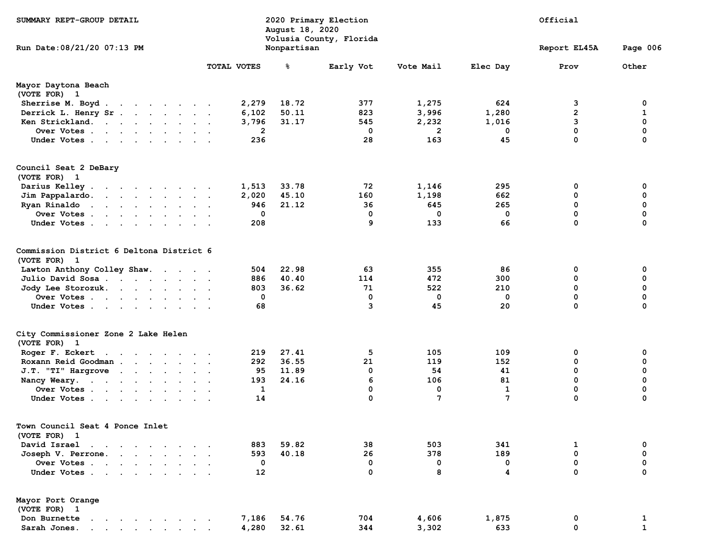| SUMMARY REPT-GROUP DETAIL                                |              | August 18, 2020 | 2020 Primary Election<br>Volusia County, Florida |                | Official |                |              |  |
|----------------------------------------------------------|--------------|-----------------|--------------------------------------------------|----------------|----------|----------------|--------------|--|
| Run Date: 08/21/20 07:13 PM                              |              | Nonpartisan     |                                                  |                |          | Report EL45A   | Page 006     |  |
|                                                          | TOTAL VOTES  | နွ              | Early Vot                                        | Vote Mail      | Elec Day | Prov           | Other        |  |
| Mayor Daytona Beach<br>(VOTE FOR) 1                      |              |                 |                                                  |                |          |                |              |  |
| Sherrise M. Boyd.                                        | 2,279        | 18.72           | 377                                              | 1,275          | 624      | 3              | 0            |  |
| Derrick L. Henry Sr                                      | 6,102        | 50.11           | 823                                              | 3,996          | 1,280    | $\overline{2}$ | 1            |  |
| Ken Strickland.                                          | 3,796        | 31.17           | 545                                              | 2,232          | 1,016    | 3              | 0            |  |
| Over Votes                                               | $\mathbf{2}$ |                 | 0                                                | $\overline{2}$ | 0        | $\mathbf 0$    | 0            |  |
| Under Votes                                              | 236          |                 | 28                                               | 163            | 45       | 0              | 0            |  |
| Council Seat 2 DeBary<br>(VOTE FOR) 1                    |              |                 |                                                  |                |          |                |              |  |
| Darius Kelley                                            | 1,513        | 33.78           | 72                                               | 1,146          | 295      | 0              | 0            |  |
| Jim Pappalardo.                                          | 2,020        | 45.10           | 160                                              | 1,198          | 662      | 0              | 0            |  |
| Ryan Rinaldo                                             | 946          | 21.12           | 36                                               | 645            | 265      | 0              | 0            |  |
| Over Votes                                               | 0            |                 | 0                                                | $\mathbf 0$    | 0        | 0              | 0            |  |
| Under Votes                                              | 208          |                 | 9                                                | 133            | 66       | 0              | 0            |  |
| Commission District 6 Deltona District 6<br>(VOTE FOR) 1 |              |                 |                                                  |                |          |                |              |  |
| Lawton Anthony Colley Shaw.                              | 504          | 22.98           | 63                                               | 355            | 86       | 0              | 0            |  |
| Julio David Sosa                                         | 886          | 40.40           | 114                                              | 472            | 300      | 0              | 0            |  |
| Jody Lee Storozuk.                                       | 803          | 36.62           | 71                                               | 522            | 210      | 0              | 0            |  |
| Over Votes                                               | 0            |                 | 0                                                | 0              | 0        | 0              | 0            |  |
| Under Votes                                              | 68           |                 | 3                                                | 45             | 20       | $\Omega$       | $\Omega$     |  |
| City Commissioner Zone 2 Lake Helen<br>(VOTE FOR) 1      |              |                 |                                                  |                |          |                |              |  |
| Roger F. Eckert                                          | 219          | 27.41           | 5                                                | 105            | 109      | 0              | 0            |  |
| Roxann Reid Goodman                                      | 292          | 36.55           | 21                                               | 119            | 152      | 0              | 0            |  |
| J.T. "TI" Hargrove                                       | 95           | 11.89           | 0                                                | 54             | 41       | 0              | 0            |  |
| Nancy Weary.                                             | 193          | 24.16           | 6                                                | 106            | 81       | 0              | 0            |  |
| Over Votes                                               | 1            |                 | 0                                                | 0              | 1        | 0              | 0            |  |
| Under Votes                                              | 14           |                 | 0                                                | 7              | 7        | 0              | 0            |  |
| Town Council Seat 4 Ponce Inlet<br>(VOTE FOR) 1          |              |                 |                                                  |                |          |                |              |  |
| David Israel                                             | 883          | 59.82           | 38                                               | 503            | 341      | 1              | 0            |  |
| Joseph V. Perrone.                                       | 593          | 40.18           | 26                                               | 378            | 189      | 0              | 0            |  |
| Over Votes                                               | 0            |                 | $\mathbf 0$                                      | 0              | 0        | $\mathbf 0$    | 0            |  |
| Under Votes                                              | 12           |                 | 0                                                | 8              | 4        | $\Omega$       | 0            |  |
| Mayor Port Orange<br>(VOTE FOR) 1                        |              |                 |                                                  |                |          |                |              |  |
| Don Burnette<br>the contract of the contract of the con- | 7,186        | 54.76           | 704                                              | 4,606          | 1,875    | 0              | 1            |  |
| Sarah Jones.                                             | 4,280        | 32.61           | 344                                              | 3,302          | 633      | 0              | $\mathbf{1}$ |  |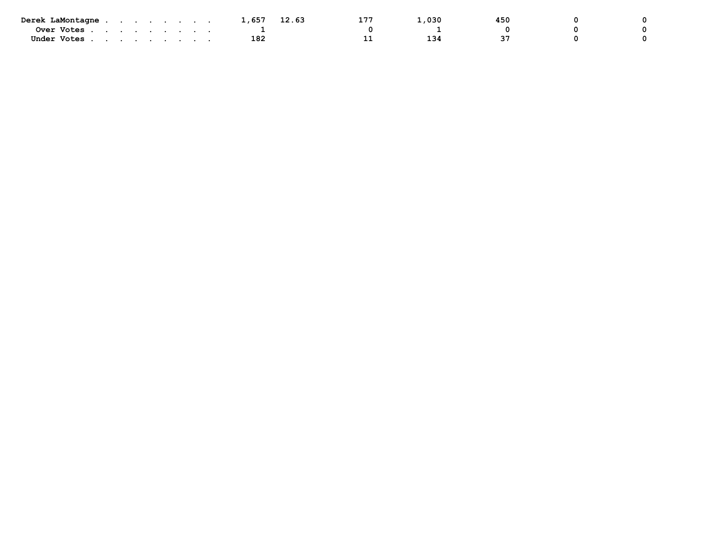| Derek LaMontagne |  |  |  |  | 1,657 | 12.63 | פס ו | 030      |  |  |
|------------------|--|--|--|--|-------|-------|------|----------|--|--|
| Over Votes       |  |  |  |  |       |       |      |          |  |  |
| Under Votes      |  |  |  |  | 182   |       | --   | ⊾?<br>-- |  |  |